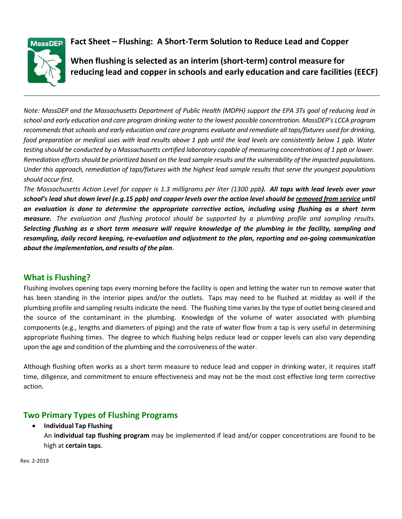**Fact Sheet – Flushing: A Short-Term Solution to Reduce Lead and Copper**



**When flushing is selected as an interim (short-term) control measure for reducing lead and copper in schools and early education and care facilities (EECF)**

*Note: MassDEP and the Massachusetts Department of Public Health (MDPH) support the EPA 3Ts goal of reducing lead in school and early education and care program drinking water to the lowest possible concentration. MassDEP's LCCA program recommends that schools and early education and care programs evaluate and remediate all taps/fixtures used for drinking, food preparation or medical uses with lead results above 1 ppb until the lead levels are consistently below 1 ppb. Water testing should be conducted by a Massachusetts certified laboratory capable of measuring concentrations of 1 ppb or lower. Remediation efforts should be prioritized based on the lead sample results and the vulnerability of the impacted populations. Under this approach, remediation of taps/fixtures with the highest lead sample results that serve the youngest populations should occur first.*

The Massachusetts Action Level for copper is 1.3 milligrams per liter (1300 ppb). All taps with lead levels over your *school's lead shut down level (e.g.15 ppb) and copper levels over the action level should be removed from service until an evaluation is done to determine the appropriate corrective action, including using flushing as a short term measure. The evaluation and flushing protocol should be supported by a plumbing profile and sampling results.* Selecting flushing as a short term measure will require knowledge of the plumbing in the facility, sampling and *resampling, daily record keeping, re-evaluation and adjustment to the plan, reporting and on-going communication about the implementation, and results of the plan.*

# **What is Flushing?**

Flushing involves opening taps every morning before the facility is open and letting the water run to remove water that has been standing in the interior pipes and/or the outlets. Taps may need to be flushed at midday as well if the plumbing profile and sampling results indicate the need. The flushing time varies by the type of outlet being cleared and the source of the contaminant in the plumbing. Knowledge of the volume of water associated with plumbing components (e.g., lengths and diameters of piping) and the rate of water flow from a tap is very useful in determining appropriate flushing times. The degree to which flushing helps reduce lead or copper levels can also vary depending upon the age and condition of the plumbing and the corrosiveness of the water.

Although flushing often works as a short term measure to reduce lead and copper in drinking water, it requires staff time, diligence, and commitment to ensure effectiveness and may not be the most cost effective long term corrective action.

# **Two Primary Types of Flushing Programs**

**Individual Tap Flushing**

An **individual tap flushing program** may be implemented if lead and/or copper concentrations are found to be high at **certain taps**.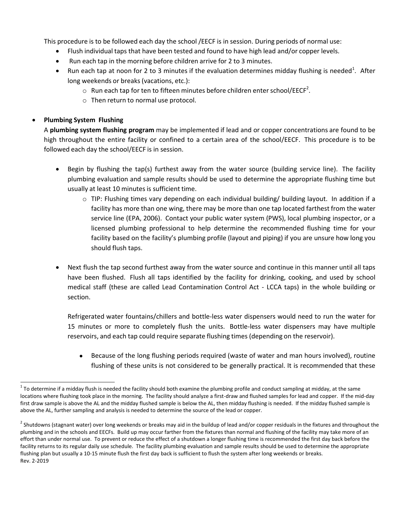This procedure is to be followed each day the school /EECF is in session. During periods of normal use:

- Flush individual taps that have been tested and found to have high lead and/or copper levels.
- Run each tap in the morning before children arrive for 2 to 3 minutes.
- Run each tap at noon for 2 to 3 minutes if the evaluation determines midday flushing is needed<sup>1</sup>. After long weekends or breaks (vacations, etc.):
	- $\circ$  Run each tap for ten to fifteen minutes before children enter school/EECF<sup>2</sup>.
	- o Then return to normal use protocol.

### **Plumbing System Flushing**

l

A **plumbing system flushing program** may be implemented if lead and or copper concentrations are found to be high throughout the entire facility or confined to a certain area of the school/EECF. This procedure is to be followed each day the school/EECF is in session.

- Begin by flushing the tap(s) furthest away from the water source (building service line). The facility plumbing evaluation and sample results should be used to determine the appropriate flushing time but usually at least 10 minutes is sufficient time.
	- $\circ$  TIP: Flushing times vary depending on each individual building/ building layout. In addition if a facility has more than one wing, there may be more than one tap located farthest from the water service line (EPA, 2006). Contact your public water system (PWS), local plumbing inspector, or a licensed plumbing professional to help determine the recommended flushing time for your facility based on the facility's plumbing profile (layout and piping) if you are unsure how long you should flush taps.
- Next flush the tap second furthest away from the water source and continue in this manner until all taps have been flushed. Flush all taps identified by the facility for drinking, cooking, and used by school medical staff (these are called Lead Contamination Control Act - LCCA taps) in the whole building or section.

Refrigerated water fountains/chillers and bottle-less water dispensers would need to run the water for 15 minutes or more to completely flush the units. Bottle-less water dispensers may have multiple reservoirs, and each tap could require separate flushing times (depending on the reservoir).

 Because of the long flushing periods required (waste of water and man hours involved), routine flushing of these units is not considered to be generally practical. It is recommended that these

 $^1$  To determine if a midday flush is needed the facility should both examine the plumbing profile and conduct sampling at midday, at the same locations where flushing took place in the morning. The facility should analyze a first-draw and flushed samples for lead and copper. If the mid-day first draw sample is above the AL and the midday flushed sample is below the AL, then midday flushing is needed. If the midday flushed sample is above the AL, further sampling and analysis is needed to determine the source of the lead or copper.

Rev. 2-2019  $^2$  Shutdowns (stagnant water) over long weekends or breaks may aid in the buildup of lead and/or copper residuals in the fixtures and throughout the plumbing and in the schools and EECFs. Build up may occur farther from the fixtures than normal and flushing of the facility may take more of an effort than under normal use. To prevent or reduce the effect of a shutdown a longer flushing time is recommended the first day back before the facility returns to its regular daily use schedule. The facility plumbing evaluation and sample results should be used to determine the appropriate flushing plan but usually a 10-15 minute flush the first day back is sufficient to flush the system after long weekends or breaks.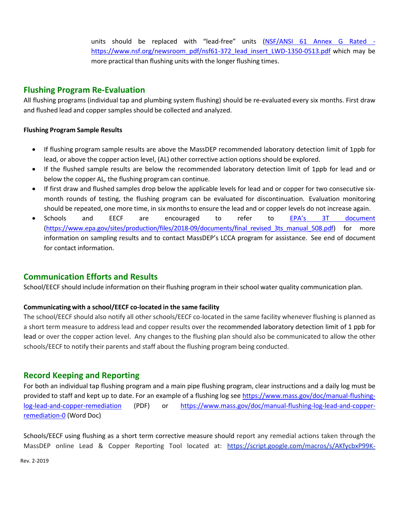units should be replaced with "lead-free" units [\(NSF/ANSI 61 Annex G Rated](https://www.nsf.org/newsroom_pdf/nsf61-372_lead_insert_LWD-1350-0513.pdf)  [https://www.nsf.org/newsroom\\_pdf/nsf61-372\\_lead\\_insert\\_LWD-1350-0513.pdf](https://www.nsf.org/newsroom_pdf/nsf61-372_lead_insert_LWD-1350-0513.pdf) which may be more practical than flushing units with the longer flushing times.

## **Flushing Program Re-Evaluation**

All flushing programs (individual tap and plumbing system flushing) should be re-evaluated every six months. First draw and flushed lead and copper samples should be collected and analyzed.

#### **Flushing Program Sample Results**

- If flushing program sample results are above the MassDEP recommended laboratory detection limit of 1ppb for lead, or above the copper action level, (AL) other corrective action options should be explored.
- If the flushed sample results are below the recommended laboratory detection limit of 1ppb for lead and or below the copper AL, the flushing program can continue.
- If first draw and flushed samples drop below the applicable levels for lead and or copper for two consecutive sixmonth rounds of testing, the flushing program can be evaluated for discontinuation. Evaluation monitoring should be repeated, one more time, in six monthsto ensure the lead and or copper levels do not increase again.
- Schools and EECF are encouraged to refer to [EPA's 3T document](https://www.epa.gov/sites/production/files/2018-09/documents/final_revised_3ts_manual_508.pdf) [\(https://www.epa.gov/sites/production/files/2018-09/documents/final\\_revised\\_3ts\\_manual\\_508.pdf\)](https://www.epa.gov/sites/production/files/2018-09/documents/final_revised_3ts_manual_508.pdf) for more information on sampling results and to contact MassDEP's LCCA program for assistance. See end of document for contact information.

# **Communication Efforts and Results**

School/EECF should include information on their flushing program in their school water quality communication plan.

### **Communicating with a school/EECF co-located in the same facility**

The school/EECF should also notify all other schools/EECF co-located in the same facility whenever flushing is planned as a short term measure to address lead and copper results over the recommended laboratory detection limit of 1 ppb for lead or over the copper action level. Any changes to the flushing plan should also be communicated to allow the other schools/EECF to notify their parents and staff about the flushing program being conducted.

## **Record Keeping and Reporting**

For both an individual tap flushing program and a main pipe flushing program, clear instructions and a daily log must be provided to staff and kept up to date. For an example of a flushing log see [https://www.mass.gov/doc/manual-flushing](https://www.mass.gov/doc/manual-flushing-log-lead-and-copper-remediation)[log-lead-and-copper-remediation](https://www.mass.gov/doc/manual-flushing-log-lead-and-copper-remediation) (PDF) or [https://www.mass.gov/doc/manual-flushing-log-lead-and-copper](https://www.mass.gov/doc/manual-flushing-log-lead-and-copper-remediation-0)[remediation-0](https://www.mass.gov/doc/manual-flushing-log-lead-and-copper-remediation-0) (Word Doc)

Schools/EECF using flushing as a short term corrective measure should report any remedial actions taken through the MassDEP online Lead & Copper Reporting Tool located at: [https://script.google.com/macros/s/AKfycbxP99K-](https://script.google.com/macros/s/AKfycbxP99K-Cd5B3ioE7nswn0peOEndcGrXwVk6zJcS5iHxzGO55B1k/exec)

Rev. 2-2019